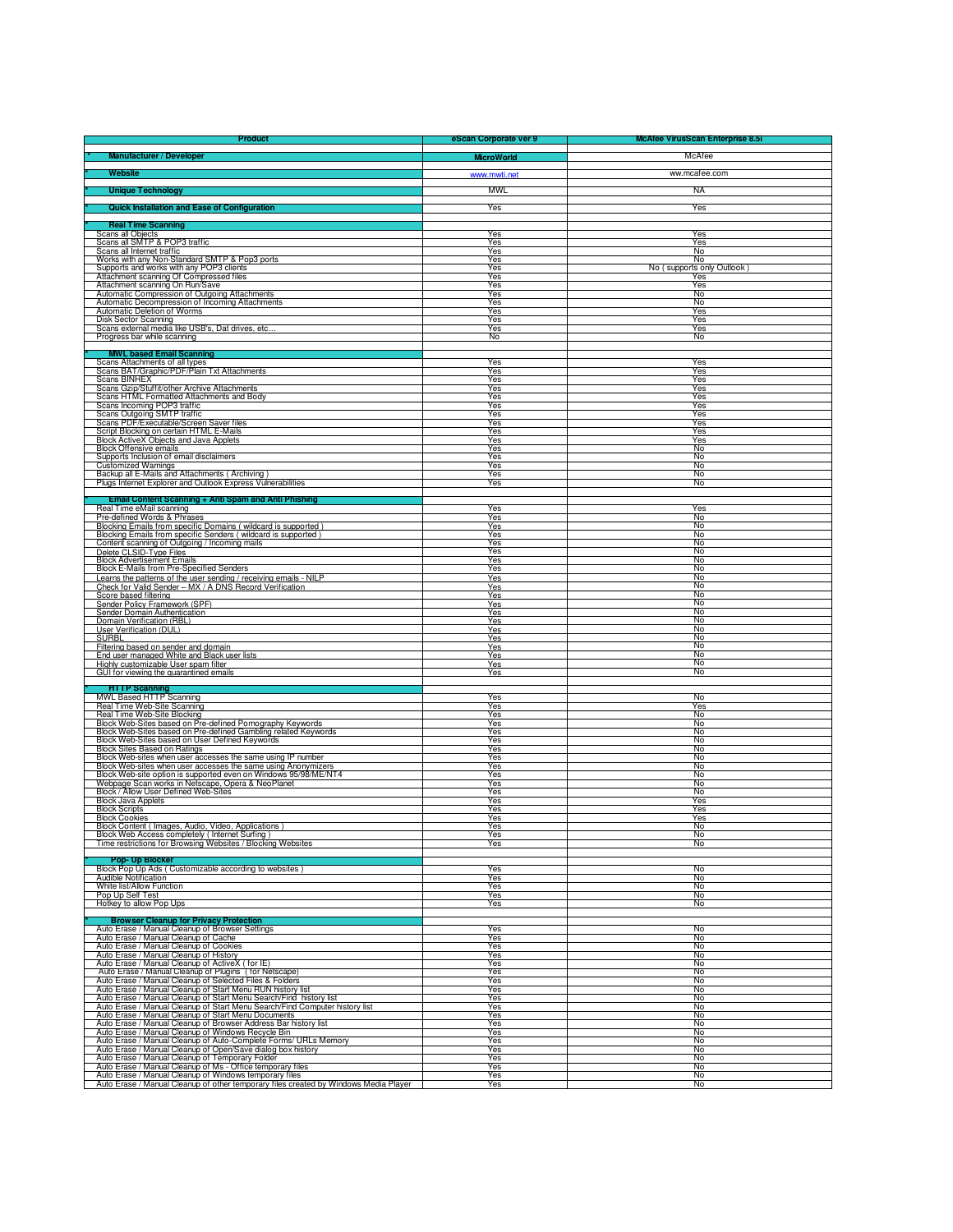| Product                                                                                                                                                                                                                                 | eScan Corporate ver 9 | <b>McAfee VirusScan Enterprise 8.5i</b> |
|-----------------------------------------------------------------------------------------------------------------------------------------------------------------------------------------------------------------------------------------|-----------------------|-----------------------------------------|
| Manufacturer / Developer                                                                                                                                                                                                                | <b>MicroWorld</b>     | McAfee                                  |
|                                                                                                                                                                                                                                         |                       |                                         |
| <b>Website</b>                                                                                                                                                                                                                          | www.mwti.net          | ww.mcafee.com                           |
| <b>Unique Technology</b>                                                                                                                                                                                                                | <b>MWL</b>            | <b>NA</b>                               |
| <b>Quick Installation and Ease of Configuration</b>                                                                                                                                                                                     | Yes                   | Yes                                     |
|                                                                                                                                                                                                                                         |                       |                                         |
| <b>Real Time Scanning</b>                                                                                                                                                                                                               |                       |                                         |
| <b>Scans all Objects</b><br>Scans all SMTP & POP3 traffic                                                                                                                                                                               | Yes<br>Yes            | Yes<br>Yes                              |
| Scans all Internet traffic                                                                                                                                                                                                              | Yes                   | No                                      |
| Works with any Non-Standard SMTP & Pop3 ports                                                                                                                                                                                           | Yes<br>Yes            | No                                      |
| Supports and works with any POP3 clients<br>Attachment scanning Of Compressed files                                                                                                                                                     | Yes                   | No (supports only Outlook)<br>Yes       |
| Attachment scanning On Run/Save                                                                                                                                                                                                         | Yes                   | Yes                                     |
| Automatic Compression of Outgoing Attachments                                                                                                                                                                                           | Yes<br>Yes            | No<br>No                                |
| Automatic Decompression of Incoming Attachments<br>Automatic Deletion of Worms                                                                                                                                                          | Yes                   | Yes                                     |
| <b>Disk Sector Scanning</b><br>Scans external media like USB's, Dat drives, etc.                                                                                                                                                        | <b>Yes</b><br>Yes     | Yes<br>Yes                              |
| Progress bar while scanning                                                                                                                                                                                                             | No                    | No                                      |
| <b>MWL based Email Scanning</b>                                                                                                                                                                                                         |                       |                                         |
| Scans Attachments of all types                                                                                                                                                                                                          | Yes                   | Yes                                     |
| Scans BAT/Graphic/PDF/Plain Txt Attachments                                                                                                                                                                                             | Yes                   | Yes                                     |
| <b>Scans BINHEX</b><br>Scans Gzip/Stuffit/other Archive Attachments                                                                                                                                                                     | Yes<br>Yes            | Yes<br>Yes                              |
| Scans HTML Formatted Attachments and Body                                                                                                                                                                                               | Yes                   | Yes                                     |
| Scans Incoming POP3 traffic<br>Scans Outgoing SMTP traffic                                                                                                                                                                              | Yes<br>Yes            | Yes<br>Yes                              |
| Scans PDF/Executable/Screen Saver files                                                                                                                                                                                                 | Yes                   | Yes                                     |
| Script Blocking on certain HTML E-Mails                                                                                                                                                                                                 | Yes                   | Yes                                     |
| Block ActiveX Objects and Java Applets<br><b>Block Offensive emails</b>                                                                                                                                                                 | Yes<br><b>Yes</b>     | Yes<br>No                               |
| Supports Inclusion of email disclaimers                                                                                                                                                                                                 | Yes                   | No                                      |
| Customized Warnings                                                                                                                                                                                                                     | Yes                   | No                                      |
| Backup all E-Mails and Attachments (Archiving)<br>Plugs Internet Explorer and Outlook Express Vulnerabilities                                                                                                                           | Yes<br>Yes            | No<br>No                                |
|                                                                                                                                                                                                                                         |                       |                                         |
| Email Content Scanning + Anti Spam and Anti Phishing<br>Real Time eMail scanning                                                                                                                                                        | Yes                   | Yes                                     |
| Pre-defined Words & Phrases                                                                                                                                                                                                             | Yes                   | No                                      |
| Blocking Emails from specific Domains (wildcard is supported)                                                                                                                                                                           | Yes                   | No                                      |
| Blocking Emails from specific Senders (wildcard is supported)<br>Content scanning of Outgoing / Incoming mails                                                                                                                          | Yes<br>Yes            | No<br>No                                |
| Delete CLSID-Type Files                                                                                                                                                                                                                 | Yes                   | No                                      |
| <b>Block Advertisement Emails</b>                                                                                                                                                                                                       | Yes                   | No                                      |
| Block E-Mails from Pre-Specified Senders<br>Learns the patterns of the user sending / receiving emails - NILP                                                                                                                           | Yes<br>Yes            | No<br>No                                |
| Check for Valid Sender - MX / A DNS Record Verification                                                                                                                                                                                 | Yes                   | No                                      |
| Score based filtering                                                                                                                                                                                                                   | Yes                   | No<br>No                                |
| Sender Policy Framework (SPF)<br>Sender Domain Authentication                                                                                                                                                                           | Yes<br>Yes            | $\overline{N_0}$                        |
| Domain Verification (RBL)                                                                                                                                                                                                               | Yes                   | No                                      |
| User Verification (DUL)<br><b>SURBL</b>                                                                                                                                                                                                 | Yes<br>Yes            | No<br>No                                |
| Filtering based on sender and domain                                                                                                                                                                                                    | Yes                   | No                                      |
| End user managed White and Black user lists                                                                                                                                                                                             | Yes                   | No                                      |
| Highly customizable User spam filter<br>GUI for viewing the quarantined emails                                                                                                                                                          | Yes.<br>Yes           | No<br>No                                |
|                                                                                                                                                                                                                                         |                       |                                         |
| HTTP Scanning<br>MWL Based HTTP Scanning                                                                                                                                                                                                | Yes                   | No                                      |
| Real Time Web-Site Scanning                                                                                                                                                                                                             | Yes                   | Yes                                     |
| Real Time Web-Site Blocking                                                                                                                                                                                                             | Yes                   | No                                      |
| Block Web-Sites based on Pre-defined Pornography Keywords                                                                                                                                                                               | Yes<br>Yes            | No<br>No                                |
| Block Web-Sites based on Pre-defined Gambling related Keywords<br>Block Web-Sites based on User Defined Keywords                                                                                                                        | Yes                   | No                                      |
| <b>Block Sites Based on Ratings</b><br>Block Web-sites when user accesses the same using IP number                                                                                                                                      | Yes<br>Yes            | No<br>No                                |
| Block Web-sites when user accesses the same using Anonymizers                                                                                                                                                                           | Yes                   | No                                      |
| Block Web-site option is supported even on Windows 95/98/ME/NT4                                                                                                                                                                         | Yes                   | No                                      |
| Webpage Scan works in Netscape, Opera & NeoPlanet<br>Block / Allow User Defined Web-Sites                                                                                                                                               | Yes<br>Yes            | No<br>No                                |
| <b>Block Java Applets</b>                                                                                                                                                                                                               | Yes                   | Yes                                     |
| <b>Block Scripts</b><br><b>Block Cookies</b>                                                                                                                                                                                            | Yes<br>Yes            | Yes<br>Yes                              |
| Block Content (Images, Audio, Video, Applications)                                                                                                                                                                                      | Yes                   | No                                      |
| Block Web Access completely (Internet Surfing)<br>Time restrictions for Browsing Websites / Blocking Websites                                                                                                                           | Yes                   | No                                      |
|                                                                                                                                                                                                                                         | Yes                   | No                                      |
| Pop- Up Blocker                                                                                                                                                                                                                         |                       |                                         |
| Block Pop Up Ads (Customizable according to websites)<br><b>Audible Notification</b>                                                                                                                                                    | Yes<br>Yes            | No<br>No                                |
| White list/Allow Function                                                                                                                                                                                                               | Yes                   | No                                      |
| Pop Up Self Test                                                                                                                                                                                                                        | Yes                   | No                                      |
| Hotkey to allow Pop Ups                                                                                                                                                                                                                 | Yes                   | No                                      |
| <b>Browser Cleanup for Privacy Protection</b>                                                                                                                                                                                           |                       |                                         |
| Auto Erase / Manual Cleanup of Browser Settings<br>Auto Erase / Manual Cleanup of Cache                                                                                                                                                 | Yes<br>Yes            | No<br>No                                |
|                                                                                                                                                                                                                                         | Yes                   | No                                      |
| Auto Erase / Manual Cleanup of Cookies<br>Auto Erase / Manual Cleanup of History                                                                                                                                                        | Yes                   | No                                      |
| Auto Erase / Manual Cleanup of ActiveX (for IE)<br>Auto Erase / Manual Cleanup of Plugins (for Netscape)                                                                                                                                | Yes<br>Yes            | No<br>No                                |
| Auto Erase / Manual Cleanup of Selected Files & Folders                                                                                                                                                                                 | Yes                   | No                                      |
| Auto Erase / Manual Cleanup of Start Menu RUN history list                                                                                                                                                                              | Yes                   | No                                      |
|                                                                                                                                                                                                                                         | Yes<br>Yes            | No<br>No                                |
| Auto Erase / Manual Cleanup of Start Menu Search/Find history list<br>Auto Erase / Manual Cleanup of Start Menu Search/Find history list<br>Auto Erase / Manual Cleanup of Start Menu Documents<br>Auto Erase / Manual Cleanup of Start | Yes                   | No                                      |
| Auto Erase / Manual Cleanup of Browser Address Bar history list                                                                                                                                                                         | Yes                   | No                                      |
| Auto Erase / Manual Cleanup of Windows Recycle Bin<br>Auto Erase / Manual Cleanup of Auto-Complete Forms/ URLs Memory                                                                                                                   | Yes<br>Yes            | No<br>No                                |
| Auto Erase / Manual Cleanup of Open/Save dialog box history<br>Auto Erase / Manual Cleanup of Temporary Folder                                                                                                                          | Yes                   | No                                      |
| Auto Erase / Manual Cleanup of Ms - Office temporary files                                                                                                                                                                              | Yes<br>Yes            | No<br>No                                |
| Auto Erase / Manual Cleanup of Windows temporary files                                                                                                                                                                                  | Yes                   | No                                      |
| Auto Erase / Manual Cleanup of other temporary files created by Windows Media Player                                                                                                                                                    | Yes                   | No                                      |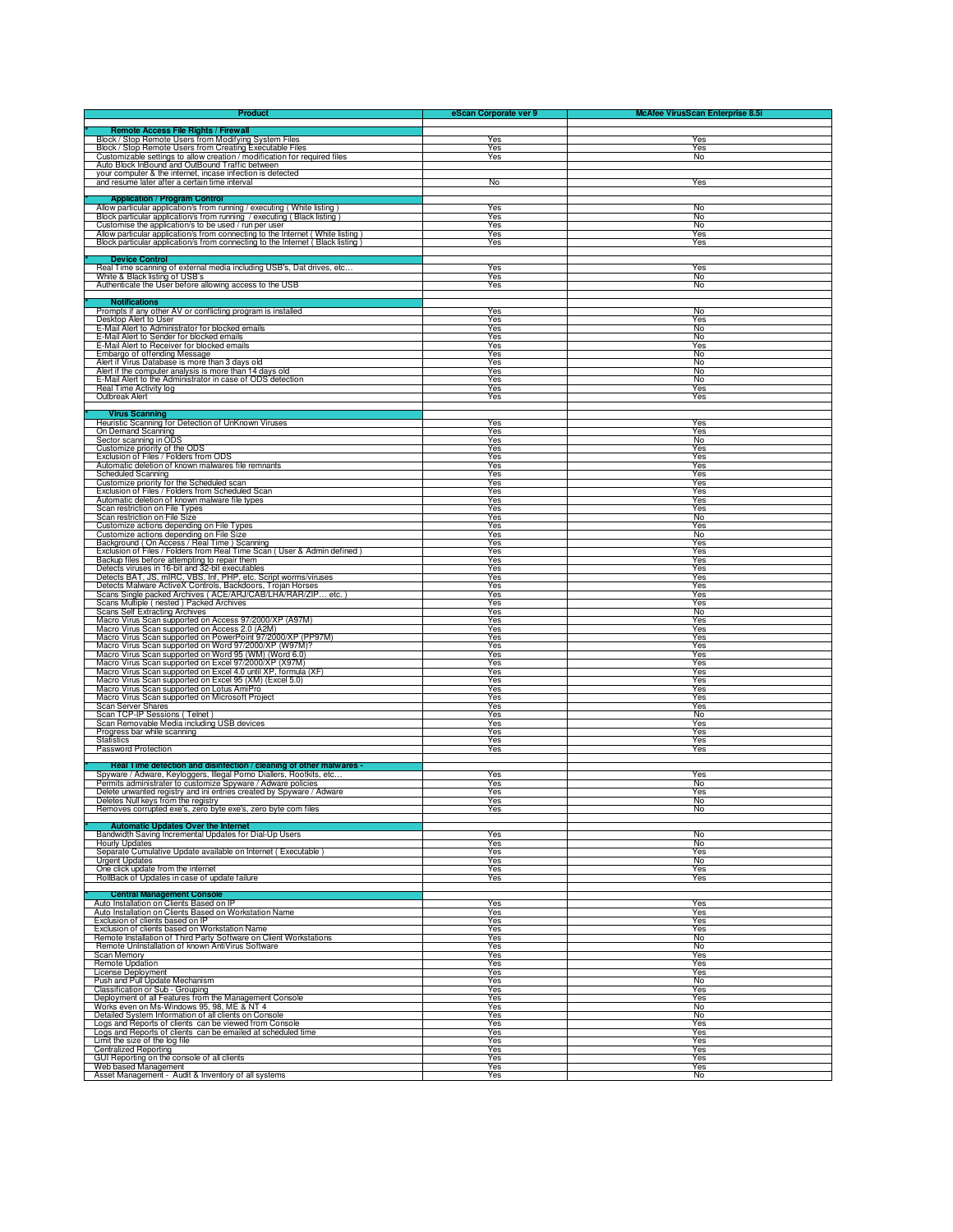| <b>Product</b>                                                                                                                                                                | eScan Corporate ver 9 | <b>McAfee VirusScan Enterprise 8.5i</b> |
|-------------------------------------------------------------------------------------------------------------------------------------------------------------------------------|-----------------------|-----------------------------------------|
| <b>Remote Access File Rights / Firewall</b>                                                                                                                                   |                       |                                         |
| Block / Stop Remote Users from Modifying System Files                                                                                                                         | Yes                   | Yes                                     |
| Block / Stop Remote Users from Creating Executable Files<br>Customizable settings to allow creation / modification for required files                                         | Yes<br>Yes            | Yes<br>No                               |
| Auto Block InBound and OutBound Traffic between                                                                                                                               |                       |                                         |
| your computer & the internet, incase infection is detected                                                                                                                    |                       |                                         |
| and resume later after a certain time interval                                                                                                                                | No                    | Yes                                     |
| <b>Application / Program Control</b>                                                                                                                                          |                       |                                         |
| Allow particular application/s from running / executing ( White listing )<br>Block particular application/s from running / executing ( Black listing )                        | Yes<br>Yes            | No<br>No                                |
| Customise the application/s to be used / run per user                                                                                                                         | Yes                   | No                                      |
| Allow particular application/s from connecting to the Internet (White listing)<br>Block particular application/s from connecting to the Internet (Black listing)              | Yes<br>Yes            | Yes<br>Yes                              |
|                                                                                                                                                                               |                       |                                         |
| Device Control<br>Real Time scanning of external media including USB's, Dat drives, etc.                                                                                      | Yes                   | Yes                                     |
| White & Black listing of USB's                                                                                                                                                | Yes                   | No                                      |
| Authenticate the User before allowing access to the USB                                                                                                                       | Yes                   | No                                      |
| Notifications                                                                                                                                                                 |                       |                                         |
| Prompts if any other AV or conflicting program is installed                                                                                                                   | Yes<br>Yes            | No<br>Yes                               |
| Desktop Alert to User<br>E-Mail Alert to Administrator for blocked emails<br>E-Mail Alert to Sender for blocked emails                                                        | Yes                   | No                                      |
|                                                                                                                                                                               | Yes                   | No<br>Yes                               |
| E-Mail Alert to Receiver for blocked emails<br>Embargo of offending Message                                                                                                   | Yes<br>Yes            | No                                      |
| Alert if Virus Database is more than 3 days old                                                                                                                               | Yes                   | No                                      |
| Alert if the computer analysis is more than 14 days old<br>E-Mail Alert to the Administrator in case of ODS detection                                                         | Yes<br>Yes            | No<br>No                                |
| Real Time Activity log                                                                                                                                                        | Yes                   | Yes                                     |
| Outbreak Alert                                                                                                                                                                | Yes                   | Yes                                     |
| <b>Virus Scanning</b>                                                                                                                                                         |                       |                                         |
| Heuristic Scanning for Detection of UnKnown Viruses<br>On Demand Scanning                                                                                                     | Yes<br>Yes            | Yes<br>Yes                              |
| Sector scanning in ODS                                                                                                                                                        | Yes                   | No                                      |
| Customize priority of the ODS<br>Exclusion of Files / Folders from ODS                                                                                                        | Yes<br>Yes            | Yes<br>Yes                              |
| Automatic deletion of known malwares file remnants                                                                                                                            | Yes                   | Yes                                     |
| Scheduled Scanning                                                                                                                                                            | Yes<br>Yes            | Yes<br>Yes                              |
| Customize priority for the Scheduled scan<br>Exclusion of Files / Folders from Scheduled Scan                                                                                 | Yes                   | Yes                                     |
| Automatic deletion of known malware file types                                                                                                                                | Yes                   | Yes                                     |
| Scan restriction on File Types<br>Scan restriction on File Size                                                                                                               | Yes<br>Yes            | Yes<br>No                               |
| Customize actions depending on File Types                                                                                                                                     | Yes                   | Yes                                     |
| Customize actions depending on File Size                                                                                                                                      | Yes<br>Yes            | No<br>Yes                               |
| Background (On Access / Real Time) Scanning<br>Exclusion of Files / Folders from Real Time Scan (User & Admin defined)                                                        | Yes                   | Yes                                     |
| Backup files before attempting to repair them<br>Detects viruses in 16-bit and 32-bit executables                                                                             | Yes<br>Yes            | Yes<br>Yes                              |
| Detects BAT, JS, mIRC, VBS, Inf, PHP, etc. Script worms/viruses<br>Detects Malware ActiveX Controls, Backdoors, Trojan Horses                                                 | Yes                   | Yes                                     |
| Scans Single packed Archives ( ACE/ARJ/CAB/LHA/RAR/ZIP.<br>. etc. )                                                                                                           | Yes<br>Yes            | Yes<br>Yes                              |
| Scans Multiple (nested) Packed Archives                                                                                                                                       | Yes                   | Yes                                     |
| <b>Scans Self Extracting Archives</b><br>Macro Virus Scan supported on Access 97/2000/XP (A97M)                                                                               | Yes<br>Yes            | No<br>Yes                               |
| Macro Virus Scan supported on Access 2.0 (A2M)                                                                                                                                | Yes                   | Yes                                     |
|                                                                                                                                                                               | Yes                   | Yes                                     |
| Macro Virus Scan supported on PowerPoint 97/2000/XP (PP97M)<br>Macro Virus Scan supported on Word 97/2000/XP (W97M)?<br>Macro Virus Scan supported on Word 95 (WM) (Word 6.0) | Yes<br>Yes            | Yes<br>Yes                              |
| Macro Virus Scan supported on Excel 97/2000/XP (X97M)<br>Macro Virus Scan supported on Excel 4.0 until XP, formula (XF)                                                       | Yes                   | Yes                                     |
| Macro Virus Scan supported on Excel 95 (XM) (Excel 5.0)                                                                                                                       | Yes<br>Yes            | Yes<br>Yes                              |
| Macro Virus Scan supported on Lotus AmiPro                                                                                                                                    | Yes                   | Yes                                     |
| Macro Virus Scan supported on Microsoft Project<br>Scan Server Shares<br>Scan TCP-IP Sessions (Telnet)                                                                        | <b>Yes</b><br>Yes     | $\overline{Yes}$<br>Yes                 |
|                                                                                                                                                                               | Yes                   | $\overline{N_0}$                        |
| Scan Removable Media including USB devices<br>Progress bar while scanning                                                                                                     | Yes<br>Yes            | Yes<br>Yes                              |
| Statistics                                                                                                                                                                    | Yes                   | Yes                                     |
| Password Protection                                                                                                                                                           | Yes                   | Yes                                     |
| Real Time detection and disinfection / cleaning of other malwares -                                                                                                           |                       |                                         |
| Spyware / Adware, Keyloggers, Illegal Porno Diallers, Rootkits, etc<br>Permits administrater to customize Spyware / Adware policies                                           | Yes<br>Yes            | Yes<br>No                               |
| Delete unwanted registry and ini entries created by Spyware / Adware                                                                                                          | Yes                   | Yes                                     |
| Deletes Null keys from the registry<br>Removes corrupted exe's, zero byte exe's, zero byte com files                                                                          | Yes<br>Yes            | No<br>No                                |
|                                                                                                                                                                               |                       |                                         |
| <b>Automatic Updates Over the Internet</b><br>Bandwidth Saving Incremental Updates for Dial-Up Users                                                                          | Yes                   | No                                      |
| <b>Hourly Updates</b>                                                                                                                                                         | Yes                   | No                                      |
| Separate Cumulative Update available on Internet (Executable)<br>Urgent Updates                                                                                               | Yes<br>Yes            | Yes<br>No                               |
| One click update from the internet                                                                                                                                            | Yes                   | Yes                                     |
| RollBack of Updates in case of update failure                                                                                                                                 | Yes                   | Yes                                     |
| <b>Central Management Console</b>                                                                                                                                             |                       |                                         |
| Auto Installation on Clients Based on IP                                                                                                                                      | Yes                   | Yes                                     |
| Auto Installation on Clients Based on Workstation Name<br>Exclusion of clients based on IP                                                                                    | Yes<br>Yes            | <b>Yes</b><br>Yes                       |
| Exclusion of clients based on Workstation Name                                                                                                                                | Yes                   | Yes                                     |
| Remote Installation of Third Party Software on Client Workstations<br>Remote UnInstallation of known AntiVirus Software                                                       | Yes<br>Yes            | No<br>No                                |
| Scan Memory                                                                                                                                                                   | Yes                   | Yes                                     |
| <b>Remote Updation</b><br>License Deployment                                                                                                                                  | Yes<br>Yes            | Yes<br>Yes                              |
| Push and Pull Update Mechanism                                                                                                                                                | Yes                   | No                                      |
| Classification or Sub - Grouping<br>Deployment of all Features from the Management Console                                                                                    | Yes<br>Yes            | Yes<br>Yes                              |
| Works even on Ms-Windows 95, 98, ME & NT 4<br>Detailed System Information of all clients on Console                                                                           | Yes                   | No                                      |
| Logs and Reports of clients can be viewed from Console                                                                                                                        | Yes<br>Yes            | No<br>Yes                               |
| Logs and Reports of clients can be emailed at scheduled time                                                                                                                  | Yes                   | Yes                                     |
| Limit the size of the log file<br><b>Centralized Reporting</b>                                                                                                                | Yes<br>Yes            | Yes<br>Yes                              |
| GUI Reporting on the console of all clients                                                                                                                                   | Yes                   | Yes                                     |
| Web based Management                                                                                                                                                          | Yes                   | Yes                                     |
| Asset Management - Audit & Inventory of all systems                                                                                                                           | Yes                   | No                                      |